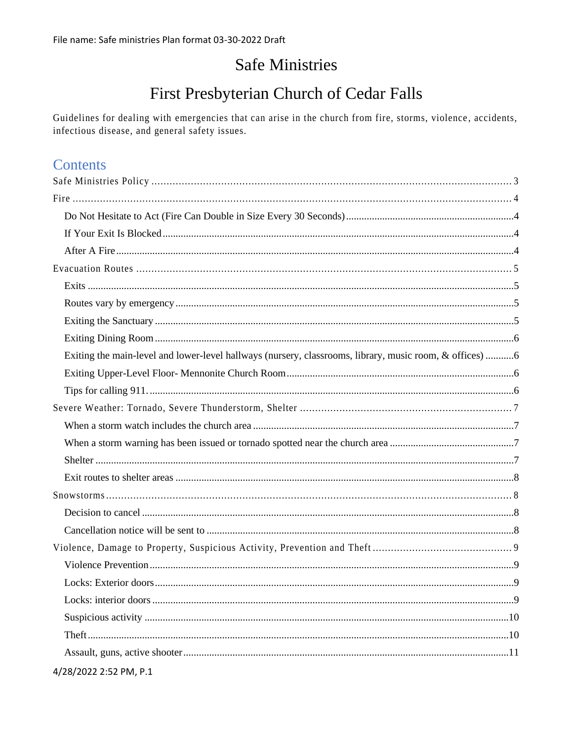# **Safe Ministries**

# First Presbyterian Church of Cedar Falls

Guidelines for dealing with emergencies that can arise in the church from fire, storms, violence, accidents, infectious disease, and general safety issues.

## **Contents**

| Exiting the main-level and lower-level hallways (nursery, classrooms, library, music room, & offices) 6 |  |
|---------------------------------------------------------------------------------------------------------|--|
|                                                                                                         |  |
|                                                                                                         |  |
|                                                                                                         |  |
|                                                                                                         |  |
|                                                                                                         |  |
|                                                                                                         |  |
|                                                                                                         |  |
|                                                                                                         |  |
|                                                                                                         |  |
|                                                                                                         |  |
|                                                                                                         |  |
|                                                                                                         |  |
|                                                                                                         |  |
|                                                                                                         |  |
|                                                                                                         |  |
|                                                                                                         |  |
|                                                                                                         |  |
| 4/28/2022 2:52 PM, P.1                                                                                  |  |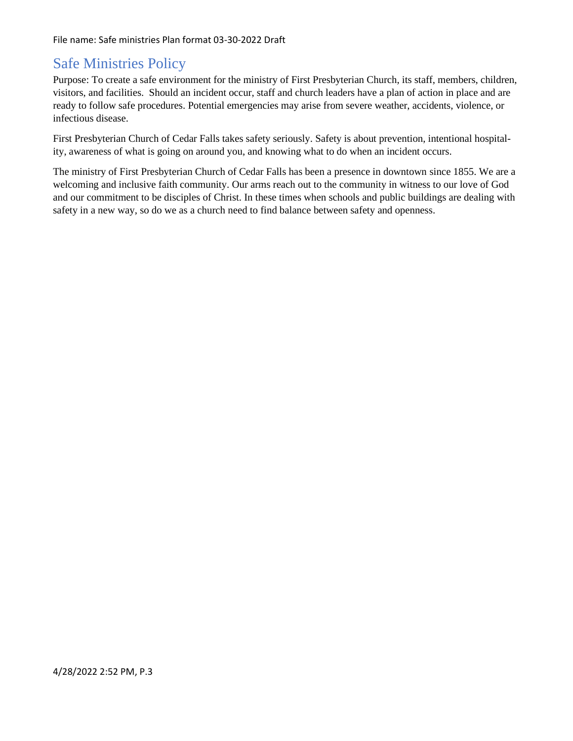# <span id="page-2-0"></span>Safe Ministries Policy

Purpose: To create a safe environment for the ministry of First Presbyterian Church, its staff, members, children, visitors, and facilities. Should an incident occur, staff and church leaders have a plan of action in place and are ready to follow safe procedures. Potential emergencies may arise from severe weather, accidents, violence, or infectious disease.

First Presbyterian Church of Cedar Falls takes safety seriously. Safety is about prevention, intentional hospitality, awareness of what is going on around you, and knowing what to do when an incident occurs.

The ministry of First Presbyterian Church of Cedar Falls has been a presence in downtown since 1855. We are a welcoming and inclusive faith community. Our arms reach out to the community in witness to our love of God and our commitment to be disciples of Christ. In these times when schools and public buildings are dealing with safety in a new way, so do we as a church need to find balance between safety and openness.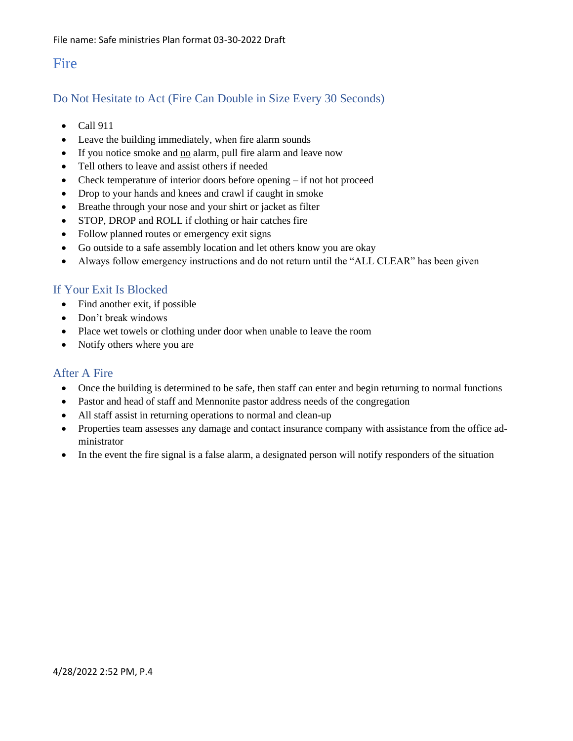## <span id="page-3-0"></span>Fire

## <span id="page-3-1"></span>Do Not Hesitate to Act (Fire Can Double in Size Every 30 Seconds)

- Call 911
- Leave the building immediately, when fire alarm sounds
- If you notice smoke and no alarm, pull fire alarm and leave now
- Tell others to leave and assist others if needed
- Check temperature of interior doors before opening if not hot proceed
- Drop to your hands and knees and crawl if caught in smoke
- Breathe through your nose and your shirt or jacket as filter
- STOP, DROP and ROLL if clothing or hair catches fire
- Follow planned routes or emergency exit signs
- Go outside to a safe assembly location and let others know you are okay
- Always follow emergency instructions and do not return until the "ALL CLEAR" has been given

## <span id="page-3-2"></span>If Your Exit Is Blocked

- Find another exit, if possible
- Don't break windows
- Place wet towels or clothing under door when unable to leave the room
- Notify others where you are

### <span id="page-3-3"></span>After A Fire

- Once the building is determined to be safe, then staff can enter and begin returning to normal functions
- Pastor and head of staff and Mennonite pastor address needs of the congregation
- All staff assist in returning operations to normal and clean-up
- Properties team assesses any damage and contact insurance company with assistance from the office administrator
- In the event the fire signal is a false alarm, a designated person will notify responders of the situation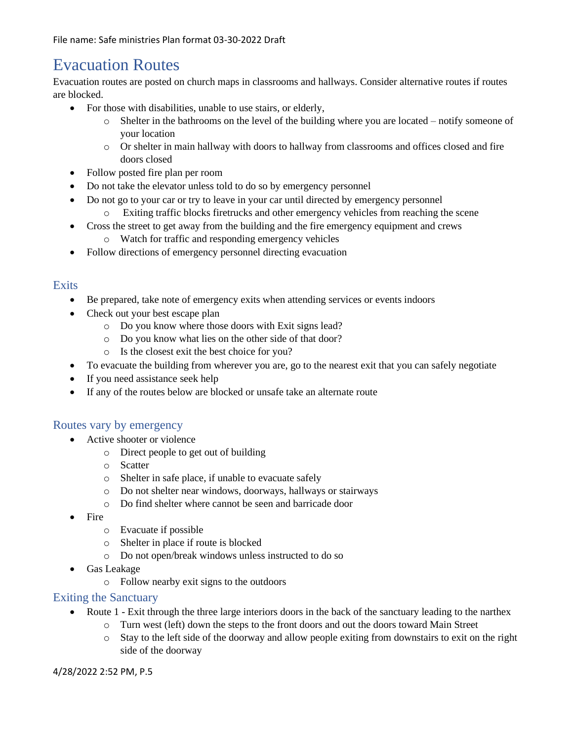# <span id="page-4-0"></span>Evacuation Routes

Evacuation routes are posted on church maps in classrooms and hallways. Consider alternative routes if routes are blocked.

- For those with disabilities, unable to use stairs, or elderly,
	- $\circ$  Shelter in the bathrooms on the level of the building where you are located notify someone of your location
	- o Or shelter in main hallway with doors to hallway from classrooms and offices closed and fire doors closed
- Follow posted fire plan per room
- Do not take the elevator unless told to do so by emergency personnel
- Do not go to your car or try to leave in your car until directed by emergency personnel
	- o Exiting traffic blocks firetrucks and other emergency vehicles from reaching the scene
- Cross the street to get away from the building and the fire emergency equipment and crews
	- o Watch for traffic and responding emergency vehicles
- Follow directions of emergency personnel directing evacuation

### <span id="page-4-1"></span>**Exits**

- Be prepared, take note of emergency exits when attending services or events indoors
- Check out your best escape plan
	- o Do you know where those doors with Exit signs lead?
	- o Do you know what lies on the other side of that door?
	- o Is the closest exit the best choice for you?
- To evacuate the building from wherever you are, go to the nearest exit that you can safely negotiate
- If you need assistance seek help
- If any of the routes below are blocked or unsafe take an alternate route

### <span id="page-4-2"></span>Routes vary by emergency

- Active shooter or violence
	- o Direct people to get out of building
	- o Scatter
	- o Shelter in safe place, if unable to evacuate safely
	- o Do not shelter near windows, doorways, hallways or stairways
	- o Do find shelter where cannot be seen and barricade door
- Fire
	- o Evacuate if possible
	- o Shelter in place if route is blocked
	- o Do not open/break windows unless instructed to do so
- Gas Leakage
	- o Follow nearby exit signs to the outdoors

### <span id="page-4-3"></span>Exiting the Sanctuary

- Route 1 Exit through the three large interiors doors in the back of the sanctuary leading to the narthex
	- o Turn west (left) down the steps to the front doors and out the doors toward Main Street
	- o Stay to the left side of the doorway and allow people exiting from downstairs to exit on the right side of the doorway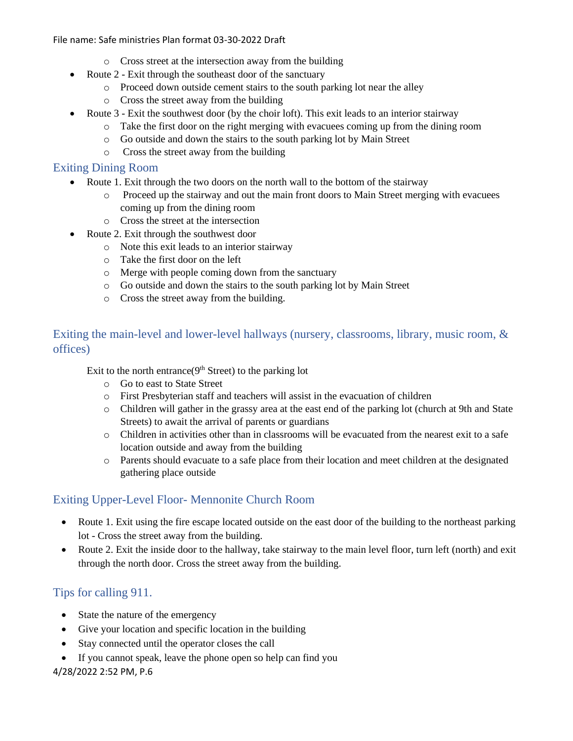- o Cross street at the intersection away from the building
- Route 2 Exit through the southeast door of the sanctuary
	- o Proceed down outside cement stairs to the south parking lot near the alley
	- o Cross the street away from the building
- Route 3 Exit the southwest door (by the choir loft). This exit leads to an interior stairway
	- o Take the first door on the right merging with evacuees coming up from the dining room
	- o Go outside and down the stairs to the south parking lot by Main Street
	- o Cross the street away from the building

### <span id="page-5-0"></span>Exiting Dining Room

- Route 1. Exit through the two doors on the north wall to the bottom of the stairway
	- o Proceed up the stairway and out the main front doors to Main Street merging with evacuees coming up from the dining room
	- o Cross the street at the intersection
- Route 2. Exit through the southwest door
	- o Note this exit leads to an interior stairway
	- o Take the first door on the left
	- o Merge with people coming down from the sanctuary
	- o Go outside and down the stairs to the south parking lot by Main Street
	- o Cross the street away from the building.

### <span id="page-5-1"></span>Exiting the main-level and lower-level hallways (nursery, classrooms, library, music room, & offices)

Exit to the north entrance( $9<sup>th</sup>$  Street) to the parking lot

- o Go to east to State Street
- o First Presbyterian staff and teachers will assist in the evacuation of children
- o Children will gather in the grassy area at the east end of the parking lot (church at 9th and State Streets) to await the arrival of parents or guardians
- o Children in activities other than in classrooms will be evacuated from the nearest exit to a safe location outside and away from the building
- o Parents should evacuate to a safe place from their location and meet children at the designated gathering place outside

## <span id="page-5-2"></span>Exiting Upper-Level Floor- Mennonite Church Room

- Route 1. Exit using the fire escape located outside on the east door of the building to the northeast parking lot - Cross the street away from the building.
- Route 2. Exit the inside door to the hallway, take stairway to the main level floor, turn left (north) and exit through the north door. Cross the street away from the building.

## <span id="page-5-3"></span>Tips for calling 911.

- State the nature of the emergency
- Give your location and specific location in the building
- Stay connected until the operator closes the call
- If you cannot speak, leave the phone open so help can find you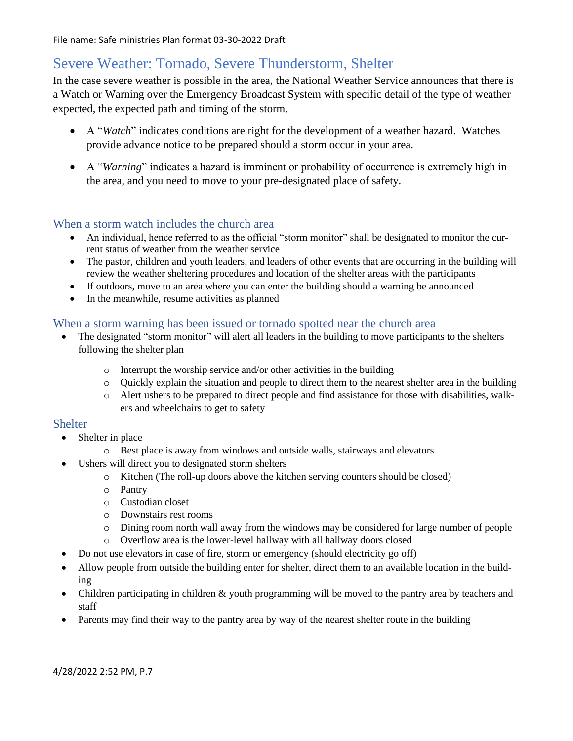# <span id="page-6-0"></span>Severe Weather: Tornado, Severe Thunderstorm, Shelter

In the case severe weather is possible in the area, the National Weather Service announces that there is a Watch or Warning over the Emergency Broadcast System with specific detail of the type of weather expected, the expected path and timing of the storm.

- A "*Watch*" indicates conditions are right for the development of a weather hazard. Watches provide advance notice to be prepared should a storm occur in your area.
- A "*Warning*" indicates a hazard is imminent or probability of occurrence is extremely high in the area, and you need to move to your pre-designated place of safety*.*

### <span id="page-6-1"></span>When a storm watch includes the church area

- An individual, hence referred to as the official "storm monitor" shall be designated to monitor the current status of weather from the weather service
- The pastor, children and youth leaders, and leaders of other events that are occurring in the building will review the weather sheltering procedures and location of the shelter areas with the participants
- If outdoors, move to an area where you can enter the building should a warning be announced
- In the meanwhile, resume activities as planned

### <span id="page-6-2"></span>When a storm warning has been issued or tornado spotted near the church area

- The designated "storm monitor" will alert all leaders in the building to move participants to the shelters following the shelter plan
	- o Interrupt the worship service and/or other activities in the building
	- o Quickly explain the situation and people to direct them to the nearest shelter area in the building
	- o Alert ushers to be prepared to direct people and find assistance for those with disabilities, walkers and wheelchairs to get to safety

### <span id="page-6-3"></span>Shelter

- Shelter in place
	- o Best place is away from windows and outside walls, stairways and elevators
- Ushers will direct you to designated storm shelters
	- o Kitchen (The roll-up doors above the kitchen serving counters should be closed)
	- o Pantry
	- o Custodian closet
	- o Downstairs rest rooms
	- o Dining room north wall away from the windows may be considered for large number of people
	- o Overflow area is the lower-level hallway with all hallway doors closed
- Do not use elevators in case of fire, storm or emergency (should electricity go off)
- Allow people from outside the building enter for shelter, direct them to an available location in the building
- Children participating in children & youth programming will be moved to the pantry area by teachers and staff
- Parents may find their way to the pantry area by way of the nearest shelter route in the building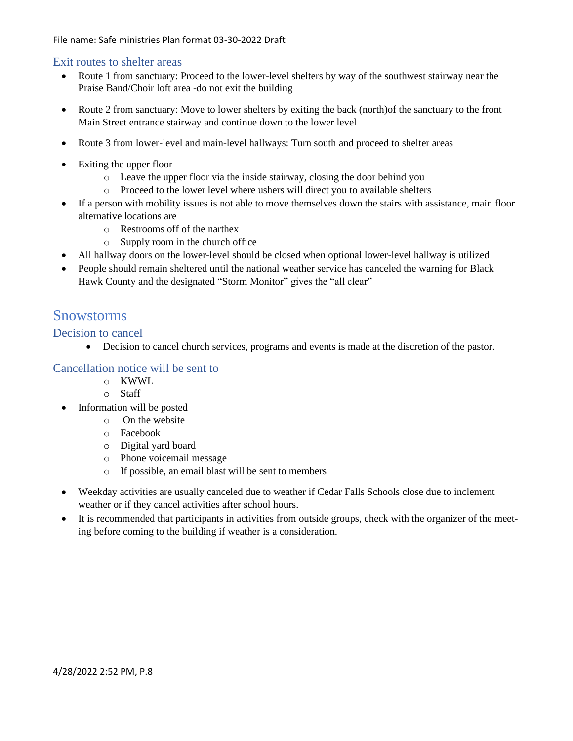### <span id="page-7-0"></span>Exit routes to shelter areas

- Route 1 from sanctuary: Proceed to the lower-level shelters by way of the southwest stairway near the Praise Band/Choir loft area -do not exit the building
- Route 2 from sanctuary: Move to lower shelters by exiting the back (north)of the sanctuary to the front Main Street entrance stairway and continue down to the lower level
- Route 3 from lower-level and main-level hallways: Turn south and proceed to shelter areas
- Exiting the upper floor
	- o Leave the upper floor via the inside stairway, closing the door behind you
	- o Proceed to the lower level where ushers will direct you to available shelters
- If a person with mobility issues is not able to move themselves down the stairs with assistance, main floor alternative locations are
	- o Restrooms off of the narthex
	- o Supply room in the church office
- All hallway doors on the lower-level should be closed when optional lower-level hallway is utilized
- People should remain sheltered until the national weather service has canceled the warning for Black Hawk County and the designated "Storm Monitor" gives the "all clear"

## <span id="page-7-1"></span>Snowstorms

### <span id="page-7-2"></span>Decision to cancel

• Decision to cancel church services, programs and events is made at the discretion of the pastor.

### <span id="page-7-3"></span>Cancellation notice will be sent to

- o KWWL
	- o Staff
- Information will be posted
	- o On the website
	- o Facebook
	- o Digital yard board
	- o Phone voicemail message
	- o If possible, an email blast will be sent to members
- Weekday activities are usually canceled due to weather if Cedar Falls Schools close due to inclement weather or if they cancel activities after school hours.
- It is recommended that participants in activities from outside groups, check with the organizer of the meeting before coming to the building if weather is a consideration.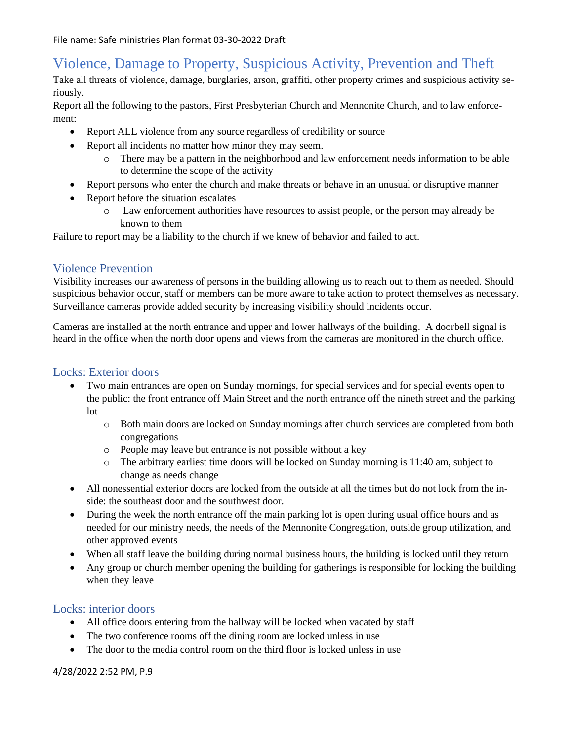# <span id="page-8-0"></span>Violence, Damage to Property, Suspicious Activity, Prevention and Theft

Take all threats of violence, damage, burglaries, arson, graffiti, other property crimes and suspicious activity seriously.

Report all the following to the pastors, First Presbyterian Church and Mennonite Church, and to law enforcement:

- Report ALL violence from any source regardless of credibility or source
- Report all incidents no matter how minor they may seem.
	- o There may be a pattern in the neighborhood and law enforcement needs information to be able to determine the scope of the activity
- Report persons who enter the church and make threats or behave in an unusual or disruptive manner
- Report before the situation escalates
	- o Law enforcement authorities have resources to assist people, or the person may already be known to them

Failure to report may be a liability to the church if we knew of behavior and failed to act.

### <span id="page-8-1"></span>Violence Prevention

Visibility increases our awareness of persons in the building allowing us to reach out to them as needed. Should suspicious behavior occur, staff or members can be more aware to take action to protect themselves as necessary. Surveillance cameras provide added security by increasing visibility should incidents occur.

Cameras are installed at the north entrance and upper and lower hallways of the building. A doorbell signal is heard in the office when the north door opens and views from the cameras are monitored in the church office.

### <span id="page-8-2"></span>Locks: Exterior doors

- Two main entrances are open on Sunday mornings, for special services and for special events open to the public: the front entrance off Main Street and the north entrance off the nineth street and the parking lot
	- o Both main doors are locked on Sunday mornings after church services are completed from both congregations
	- o People may leave but entrance is not possible without a key
	- o The arbitrary earliest time doors will be locked on Sunday morning is 11:40 am, subject to change as needs change
- All nonessential exterior doors are locked from the outside at all the times but do not lock from the inside: the southeast door and the southwest door.
- During the week the north entrance off the main parking lot is open during usual office hours and as needed for our ministry needs, the needs of the Mennonite Congregation, outside group utilization, and other approved events
- When all staff leave the building during normal business hours, the building is locked until they return
- Any group or church member opening the building for gatherings is responsible for locking the building when they leave

### <span id="page-8-3"></span>Locks: interior doors

- All office doors entering from the hallway will be locked when vacated by staff
- The two conference rooms off the dining room are locked unless in use
- The door to the media control room on the third floor is locked unless in use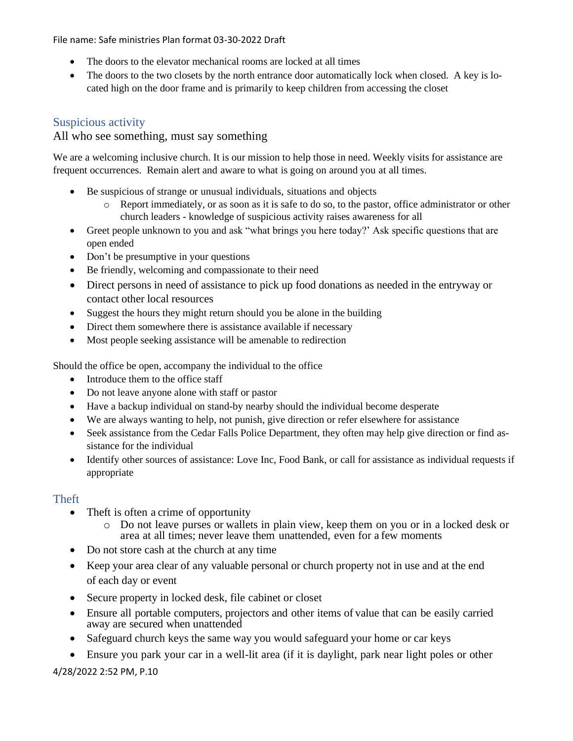- The doors to the elevator mechanical rooms are locked at all times
- The doors to the two closets by the north entrance door automatically lock when closed. A key is located high on the door frame and is primarily to keep children from accessing the closet

## <span id="page-9-0"></span>Suspicious activity

### All who see something, must say something

We are a welcoming inclusive church. It is our mission to help those in need. Weekly visits for assistance are frequent occurrences. Remain alert and aware to what is going on around you at all times.

- Be suspicious of strange or unusual individuals, situations and objects
	- o Report immediately, or as soon as it is safe to do so, to the pastor, office administrator or other church leaders - knowledge of suspicious activity raises awareness for all
- Greet people unknown to you and ask "what brings you here today?' Ask specific questions that are open ended
- Don't be presumptive in your questions
- Be friendly, welcoming and compassionate to their need
- Direct persons in need of assistance to pick up food donations as needed in the entryway or contact other local resources
- Suggest the hours they might return should you be alone in the building
- Direct them somewhere there is assistance available if necessary
- Most people seeking assistance will be amenable to redirection

Should the office be open, accompany the individual to the office

- Introduce them to the office staff
- Do not leave anyone alone with staff or pastor
- Have a backup individual on stand-by nearby should the individual become desperate
- We are always wanting to help, not punish, give direction or refer elsewhere for assistance
- Seek assistance from the Cedar Falls Police Department, they often may help give direction or find assistance for the individual
- Identify other sources of assistance: Love Inc, Food Bank, or call for assistance as individual requests if appropriate

### <span id="page-9-1"></span>**Theft**

- Theft is often a crime of opportunity
	- o Do not leave purses or wallets in plain view, keep them on you or in a locked desk or area at all times; never leave them unattended, even for a few moments
- Do not store cash at the church at any time
- Keep your area clear of any valuable personal or church property not in use and at the end of each day or event
- Secure property in locked desk, file cabinet or closet
- Ensure all portable computers, projectors and other items of value that can be easily carried away are secured when unattended
- Safeguard church keys the same way you would safeguard your home or car keys
- Ensure you park your car in a well-lit area (if it is daylight, park near light poles or other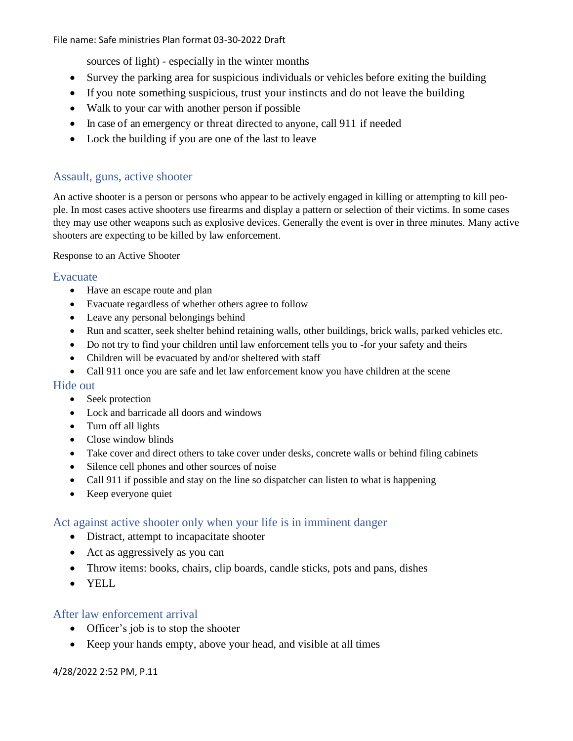sources of light) - especially in the winter months

- Survey the parking area for suspicious individuals or vehicles before exiting the building
- If you note something suspicious, trust your instincts and do not leave the building
- Walk to your car with another person if possible
- In case of an emergency or threat directed to anyone, call 911 if needed
- Lock the building if you are one of the last to leave

### <span id="page-10-0"></span>Assault, guns, active shooter

An active shooter is a person or persons who appear to be actively engaged in killing or attempting to kill people. In most cases active shooters use firearms and display a pattern or selection of their victims. In some cases they may use other weapons such as explosive devices. Generally the event is over in three minutes. Many active shooters are expecting to be killed by law enforcement.

Response to an Active Shooter

### <span id="page-10-1"></span>Evacuate

- Have an escape route and plan
- Evacuate regardless of whether others agree to follow
- Leave any personal belongings behind
- Run and scatter, seek shelter behind retaining walls, other buildings, brick walls, parked vehicles etc.
- Do not try to find your children until law enforcement tells you to -for your safety and theirs
- Children will be evacuated by and/or sheltered with staff
- Call 911 once you are safe and let law enforcement know you have children at the scene

### <span id="page-10-2"></span>Hide out

- Seek protection
- Lock and barricade all doors and windows
- Turn off all lights
- Close window blinds
- Take cover and direct others to take cover under desks, concrete walls or behind filing cabinets
- Silence cell phones and other sources of noise
- Call 911 if possible and stay on the line so dispatcher can listen to what is happening
- Keep everyone quiet

### <span id="page-10-3"></span>Act against active shooter only when your life is in imminent danger

- Distract, attempt to incapacitate shooter
- Act as aggressively as you can
- Throw items: books, chairs, clip boards, candle sticks, pots and pans, dishes
- YELL

### <span id="page-10-4"></span>After law enforcement arrival

- Officer's job is to stop the shooter
- Keep your hands empty, above your head, and visible at all times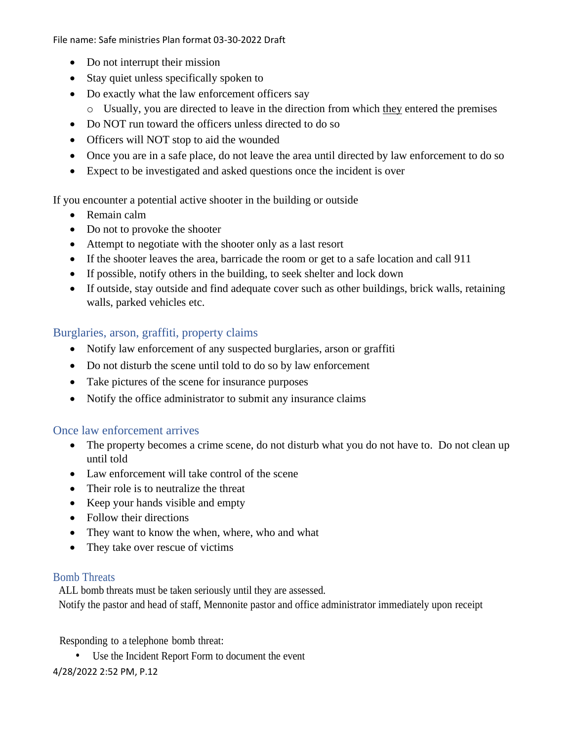- Do not interrupt their mission
- Stay quiet unless specifically spoken to
- Do exactly what the law enforcement officers say
	- o Usually, you are directed to leave in the direction from which they entered the premises
- Do NOT run toward the officers unless directed to do so
- Officers will NOT stop to aid the wounded
- Once you are in a safe place, do not leave the area until directed by law enforcement to do so
- Expect to be investigated and asked questions once the incident is over

If you encounter a potential active shooter in the building or outside

- Remain calm
- Do not to provoke the shooter
- Attempt to negotiate with the shooter only as a last resort
- If the shooter leaves the area, barricade the room or get to a safe location and call 911
- If possible, notify others in the building, to seek shelter and lock down
- If outside, stay outside and find adequate cover such as other buildings, brick walls, retaining walls, parked vehicles etc.

### <span id="page-11-0"></span>Burglaries, arson, graffiti, property claims

- Notify law enforcement of any suspected burglaries, arson or graffiti
- Do not disturb the scene until told to do so by law enforcement
- Take pictures of the scene for insurance purposes
- Notify the office administrator to submit any insurance claims

### <span id="page-11-1"></span>Once law enforcement arrives

- The property becomes a crime scene, do not disturb what you do not have to. Do not clean up until told
- Law enforcement will take control of the scene
- Their role is to neutralize the threat
- Keep your hands visible and empty
- Follow their directions
- They want to know the when, where, who and what
- They take over rescue of victims

### <span id="page-11-2"></span>Bomb Threats

ALL bomb threats must be taken seriously until they are assessed.

Notify the pastor and head of staff, Mennonite pastor and office administrator immediately upon receipt

Responding to a telephone bomb threat:

Use the Incident Report Form to document the event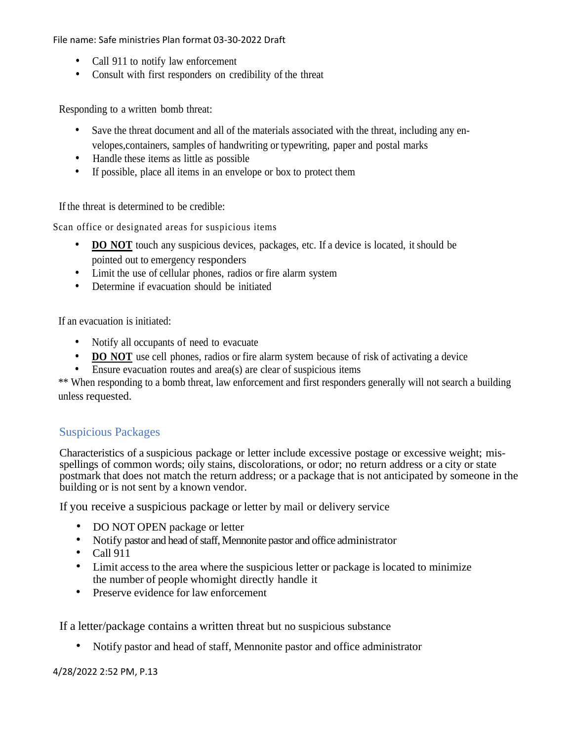- Call 911 to notify law enforcement
- Consult with first responders on credibility of the threat

Responding to a written bomb threat:

- Save the threat document and all of the materials associated with the threat, including any envelopes,containers, samples of handwriting or typewriting, paper and postal marks
- Handle these items as little as possible
- If possible, place all items in an envelope or box to protect them

If the threat is determined to be credible:

Scan office or designated areas for suspicious items

- **DO NOT** touch any suspicious devices, packages, etc. If a device is located, it should be pointed out to emergency responders
- Limit the use of cellular phones, radios or fire alarm system
- Determine if evacuation should be initiated

If an evacuation is initiated:

- Notify all occupants of need to evacuate
- **DO NOT** use cell phones, radios or fire alarm system because of risk of activating a device
- Ensure evacuation routes and area(s) are clear of suspicious items

\*\* When responding to a bomb threat, law enforcement and first responders generally will not search a building unless requested.

### Suspicious Packages

Characteristics of a suspicious package or letter include excessive postage or excessive weight; misspellings of common words; oily stains, discolorations, or odor; no return address or a city or state postmark that does not match the return address; or a package that is not anticipated by someone in the building or is not sent by a known vendor.

If you receive a suspicious package or letter by mail or delivery service

- DO NOT OPEN package or letter
- Notify pastor and head of staff, Mennonite pastor and office administrator
- $\bullet$  Call 911
- Limit access to the area where the suspicious letter or package is located to minimize the number of people whomight directly handle it
- Preserve evidence for law enforcement

If a letter/package contains a written threat but no suspicious substance

• Notify pastor and head of staff, Mennonite pastor and office administrator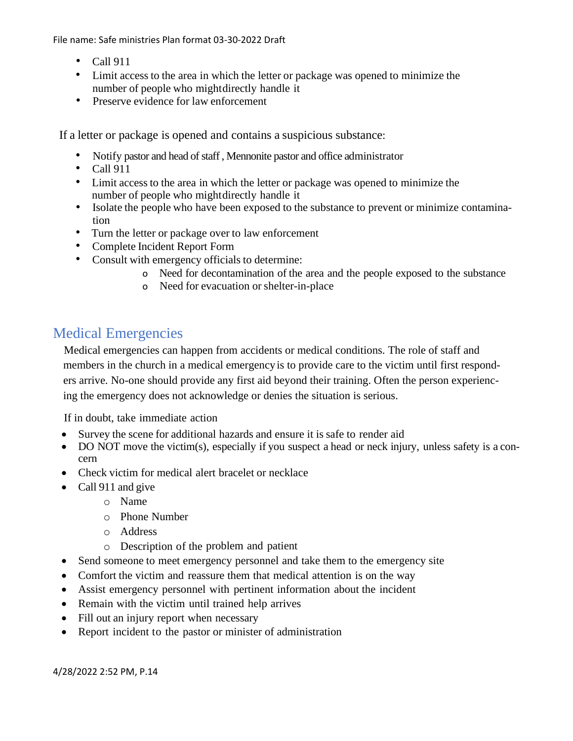- Call 911
- Limit access to the area in which the letter or package was opened to minimize the number of people who mightdirectly handle it
- Preserve evidence for law enforcement

If a letter or package is opened and contains a suspicious substance:

- Notify pastor and head of staff , Mennonite pastor and office administrator
- Call 911
- Limit access to the area in which the letter or package was opened to minimize the number of people who mightdirectly handle it
- Isolate the people who have been exposed to the substance to prevent or minimize contamination
- Turn the letter or package over to law enforcement
- Complete Incident Report Form
- Consult with emergency officials to determine:
	- o Need for decontamination of the area and the people exposed to the substance
	- o Need for evacuation or shelter-in-place

# <span id="page-13-0"></span>Medical Emergencies

Medical emergencies can happen from accidents or medical conditions. The role of staff and members in the church in a medical emergency is to provide care to the victim until first responders arrive. No-one should provide any first aid beyond their training. Often the person experiencing the emergency does not acknowledge or denies the situation is serious.

If in doubt, take immediate action

- Survey the scene for additional hazards and ensure it is safe to render aid
- DO NOT move the victim(s), especially if you suspect a head or neck injury, unless safety is a concern
- Check victim for medical alert bracelet or necklace
- Call 911 and give
	- o Name
	- o Phone Number
	- o Address
	- o Description of the problem and patient
- Send someone to meet emergency personnel and take them to the emergency site
- Comfort the victim and reassure them that medical attention is on the way
- Assist emergency personnel with pertinent information about the incident
- Remain with the victim until trained help arrives
- Fill out an injury report when necessary
- Report incident to the pastor or minister of administration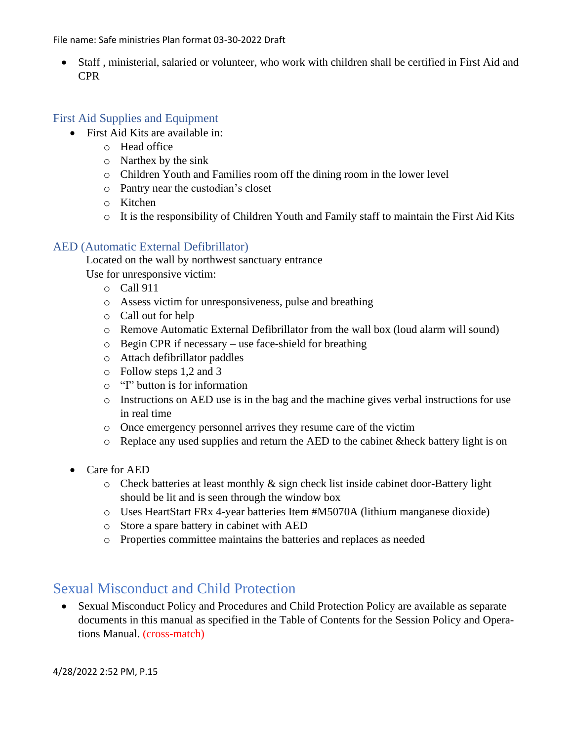• Staff , ministerial, salaried or volunteer, who work with children shall be certified in First Aid and CPR

## <span id="page-14-0"></span>First Aid Supplies and Equipment

- First Aid Kits are available in:
	- o Head office
	- o Narthex by the sink
	- o Children Youth and Families room off the dining room in the lower level
	- o Pantry near the custodian's closet
	- o Kitchen
	- o It is the responsibility of Children Youth and Family staff to maintain the First Aid Kits

### <span id="page-14-1"></span>AED (Automatic External Defibrillator)

Located on the wall by northwest sanctuary entrance

Use for unresponsive victim:

- o Call 911
- o Assess victim for unresponsiveness, pulse and breathing
- o Call out for help
- o Remove Automatic External Defibrillator from the wall box (loud alarm will sound)
- o Begin CPR if necessary use face-shield for breathing
- o Attach defibrillator paddles
- o Follow steps 1,2 and 3
- o "I" button is for information
- o Instructions on AED use is in the bag and the machine gives verbal instructions for use in real time
- o Once emergency personnel arrives they resume care of the victim
- o Replace any used supplies and return the AED to the cabinet &heck battery light is on
- Care for AED
	- o Check batteries at least monthly & sign check list inside cabinet door-Battery light should be lit and is seen through the window box
	- o Uses HeartStart FRx 4-year batteries Item #M5070A (lithium manganese dioxide)
	- o Store a spare battery in cabinet with AED
	- o Properties committee maintains the batteries and replaces as needed

# <span id="page-14-2"></span>Sexual Misconduct and Child Protection

• Sexual Misconduct Policy and Procedures and Child Protection Policy are available as separate documents in this manual as specified in the Table of Contents for the Session Policy and Operations Manual. (cross-match)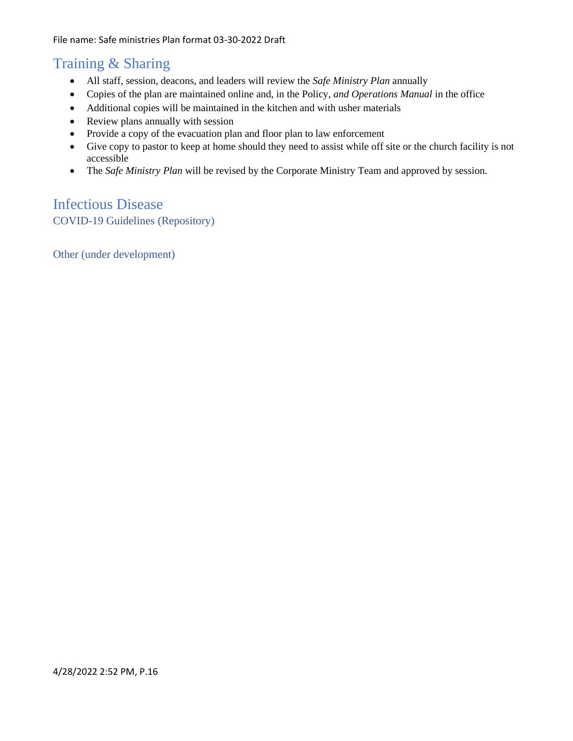# <span id="page-15-0"></span>Training & Sharing

- All staff, session, deacons, and leaders will review the *Safe Ministry Plan* annually
- Copies of the plan are maintained online and, in the Policy, *and Operations Manual* in the office
- Additional copies will be maintained in the kitchen and with usher materials
- Review plans annually with session
- Provide a copy of the evacuation plan and floor plan to law enforcement
- Give copy to pastor to keep at home should they need to assist while off site or the church facility is not accessible
- The *Safe Ministry Plan* will be revised by the Corporate Ministry Team and approved by session.

## <span id="page-15-2"></span><span id="page-15-1"></span>Infectious Disease COVID-19 Guidelines (Repository)

<span id="page-15-3"></span>Other (under development)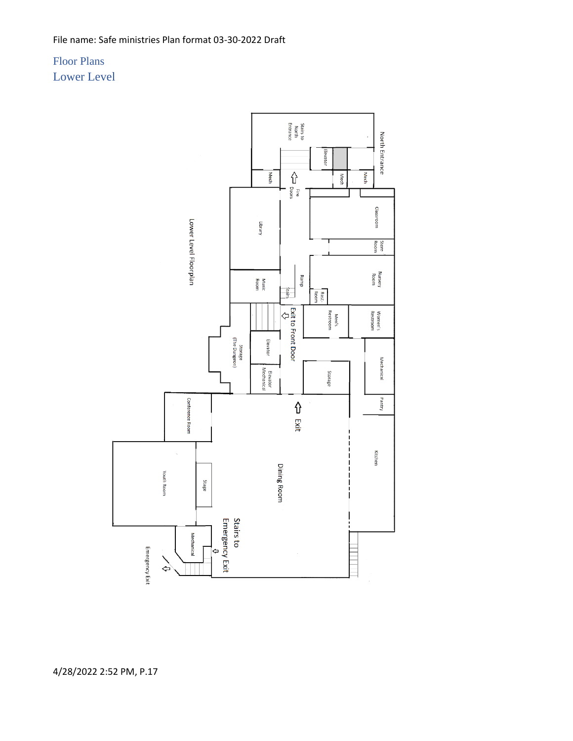<span id="page-16-1"></span><span id="page-16-0"></span>Floor Plans Lower Level

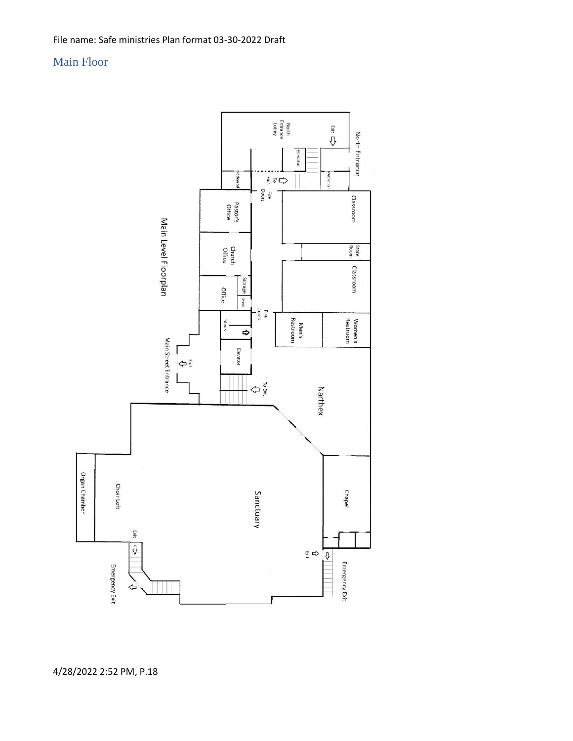## <span id="page-17-0"></span>Main Floor